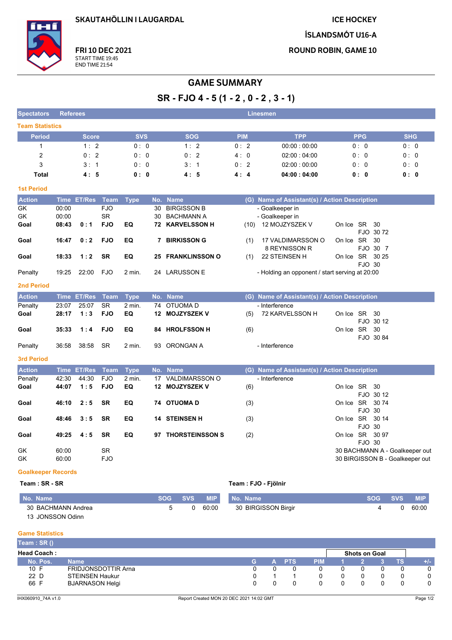SKAUTAHÖLLIN I LAUGARDAL

**ICE HOCKEY** 

ÍSLANDSMÓT U16-A

**ROUND ROBIN, GAME 10** 



### FRI 10 DEC 2021 START TIME 19:45<br>END TIME 21:54

# **GAME SUMMARY**

 $SR - FJO 4 - 5 (1 - 2, 0 - 2, 3 - 1)$ 

| <b>Spectators</b>         | <b>Referees</b> |               |                         |             |                 |                                             |            | <b>Linesmen</b>                                |                                     |            |
|---------------------------|-----------------|---------------|-------------------------|-------------|-----------------|---------------------------------------------|------------|------------------------------------------------|-------------------------------------|------------|
| <b>Team Statistics</b>    |                 |               |                         |             |                 |                                             |            |                                                |                                     |            |
| <b>Period</b>             |                 | <b>Score</b>  |                         | <b>SVS</b>  |                 | <b>SOG</b>                                  | <b>PIM</b> | <b>TPP</b>                                     | <b>PPG</b>                          | <b>SHG</b> |
| $\mathbf{1}$              |                 | 1:2           |                         | 0:0         |                 | 1:2                                         | 0:2        | 00:00:00:00                                    | 0:0                                 | 0:0        |
| 2                         |                 | 0:2           |                         | 0:0         |                 | 0:2                                         | 4:0        | 02:00:04:00                                    | 0:0                                 | 0:0        |
| 3                         |                 | 3:1           |                         | 0: 0        |                 | 3:1                                         | 0:2        | 02:00:00:00                                    | 0:0                                 | 0:0        |
| Total                     |                 | 4:5           |                         | 0: 0        |                 | 4:5                                         | 4:4        | 04:00:04:00                                    | 0: 0                                | 0: 0       |
| <b>1st Period</b>         |                 |               |                         |             |                 |                                             |            |                                                |                                     |            |
| <b>Action</b>             | <b>Time</b>     | <b>ET/Res</b> | Team                    | <b>Type</b> | No.             | <b>Name</b>                                 |            | (G) Name of Assistant(s) / Action Description  |                                     |            |
| $\overline{\mathsf{GK}}$  | 00:00           |               | <b>FJO</b>              |             | 30              | <b>BIRGISSON B</b>                          |            | - Goalkeeper in                                |                                     |            |
| GK<br>Goal                | 00:00<br>08:43  | 0:1           | <b>SR</b><br><b>FJO</b> | EQ          | 30              | <b>BACHMANN A</b><br><b>72 KARVELSSON H</b> |            | - Goalkeeper in<br>(10) 12 MOJZYSZEK V         | On Ice SR<br>30                     |            |
|                           |                 |               |                         |             |                 |                                             |            |                                                | FJO 3072                            |            |
| Goal                      | 16:47           | 0:2           | <b>FJO</b>              | EQ          | $\overline{7}$  | <b>BIRKISSON G</b>                          | (1)        | 17 VALDIMARSSON O                              | On Ice SR<br>30                     |            |
|                           |                 |               |                         |             |                 |                                             |            | 8 REYNISSON R                                  | FJO 30 7                            |            |
| Goal                      | 18:33           | 1:2           | <b>SR</b>               | EQ          |                 | <b>25 FRANKLINSSON O</b>                    | (1)        | 22 STEINSEN H                                  | On Ice SR<br>30 25<br><b>FJO 30</b> |            |
| Penalty                   | 19:25           | 22:00         | <b>FJO</b>              | 2 min.      |                 | 24 LARUSSON E                               |            | - Holding an opponent / start serving at 20:00 |                                     |            |
| <b>2nd Period</b>         |                 |               |                         |             |                 |                                             |            |                                                |                                     |            |
| <b>Action</b>             |                 | Time ET/Res   | <b>Team</b>             | <b>Type</b> |                 | No. Name                                    |            | (G) Name of Assistant(s) / Action Description  |                                     |            |
| Penalty                   | 23:07           | 25:07         | <b>SR</b>               | 2 min.      | 74              | OTUOMA D                                    |            | - Interference                                 |                                     |            |
| Goal                      | 28:17           | 1:3           | <b>FJO</b>              | EQ          | 12              | <b>MOJZYSZEK V</b>                          | (5)        | 72 KARVELSSON H                                | On Ice SR<br>30<br>FJO 3012         |            |
| Goal                      | 35:33           | 1:4           | <b>FJO</b>              | EQ          |                 | 84 HROLFSSON H                              | (6)        |                                                | On Ice SR<br>30                     |            |
|                           |                 |               |                         |             |                 |                                             |            |                                                | FJO 3084                            |            |
| Penalty                   | 36.58           | 38:58         | <b>SR</b>               | 2 min.      |                 | 93 ORONGAN A                                |            | - Interference                                 |                                     |            |
| <b>3rd Period</b>         |                 |               |                         |             |                 |                                             |            |                                                |                                     |            |
| <b>Action</b>             |                 | Time ET/Res   | <b>Team</b>             | <b>Type</b> |                 | No. Name                                    |            | (G) Name of Assistant(s) / Action Description  |                                     |            |
| Penalty                   | 42:30           | 44:30         | <b>FJO</b>              | 2 min.      |                 | 17 VALDIMARSSON O                           |            | - Interference                                 |                                     |            |
| Goal                      | 44:07           | 1:5           | <b>FJO</b>              | EQ          | 12 <sup>1</sup> | <b>MOJZYSZEK V</b>                          | (6)        |                                                | On Ice SR<br>30<br>FJO 3012         |            |
| Goal                      | 46:10           | 2:5           | <b>SR</b>               | EQ          | 74              | <b>OTUOMAD</b>                              | (3)        |                                                | On Ice SR<br>3074                   |            |
|                           |                 |               |                         |             |                 |                                             |            |                                                | <b>FJO 30</b>                       |            |
| Goal                      | 48:46           | 3:5           | <b>SR</b>               | EQ          |                 | <b>14 STEINSEN H</b>                        | (3)        |                                                | On Ice SR<br>30 14                  |            |
| Goal                      | 49:25           | 4:5           | <b>SR</b>               | EQ          |                 | 97 THORSTEINSSON S                          | (2)        |                                                | <b>FJO 30</b><br>On Ice SR<br>30 97 |            |
|                           |                 |               |                         |             |                 |                                             |            |                                                | <b>FJO 30</b>                       |            |
| GK                        | 60:00           |               | <b>SR</b>               |             |                 |                                             |            |                                                | 30 BACHMANN A - Goalkeeper out      |            |
| GK                        | 60:00           |               | <b>FJO</b>              |             |                 |                                             |            |                                                | 30 BIRGISSON B - Goalkeeper out     |            |
| <b>Goalkeeper Records</b> |                 |               |                         |             |                 |                                             |            |                                                |                                     |            |

#### Team: SR - SR

### Team : FJO - Fjölnir

| No. Name           | <b>SVS</b> | <b>MIP</b> | No. Name            | <b>SOG</b> | <b>SVS</b> | <b>MIP</b> |
|--------------------|------------|------------|---------------------|------------|------------|------------|
| 30 BACHMANN Andrea |            | 60:00      | 30 BIRGISSON Birgir |            |            | 60:00      |
| 13 JONSSON Odinn   |            |            |                     |            |            |            |

**Game Statistics** 

| Team: SR()                                 |                            |   |  |       |            |  |  |  |    |            |
|--------------------------------------------|----------------------------|---|--|-------|------------|--|--|--|----|------------|
| <b>Head Coach:</b><br><b>Shots on Goal</b> |                            |   |  |       |            |  |  |  |    |            |
| No. Pos.                                   | <b>Name</b>                | G |  | A PTS | <b>PIM</b> |  |  |  | ΤS | <b>TIA</b> |
| 10 F                                       | <b>FRIDJONSDOTTIR Arna</b> |   |  |       |            |  |  |  |    |            |
| 22 D                                       | <b>STEINSEN Haukur</b>     |   |  |       |            |  |  |  |    |            |
| 66 F                                       | <b>BJARNASON Helgi</b>     |   |  |       |            |  |  |  |    |            |